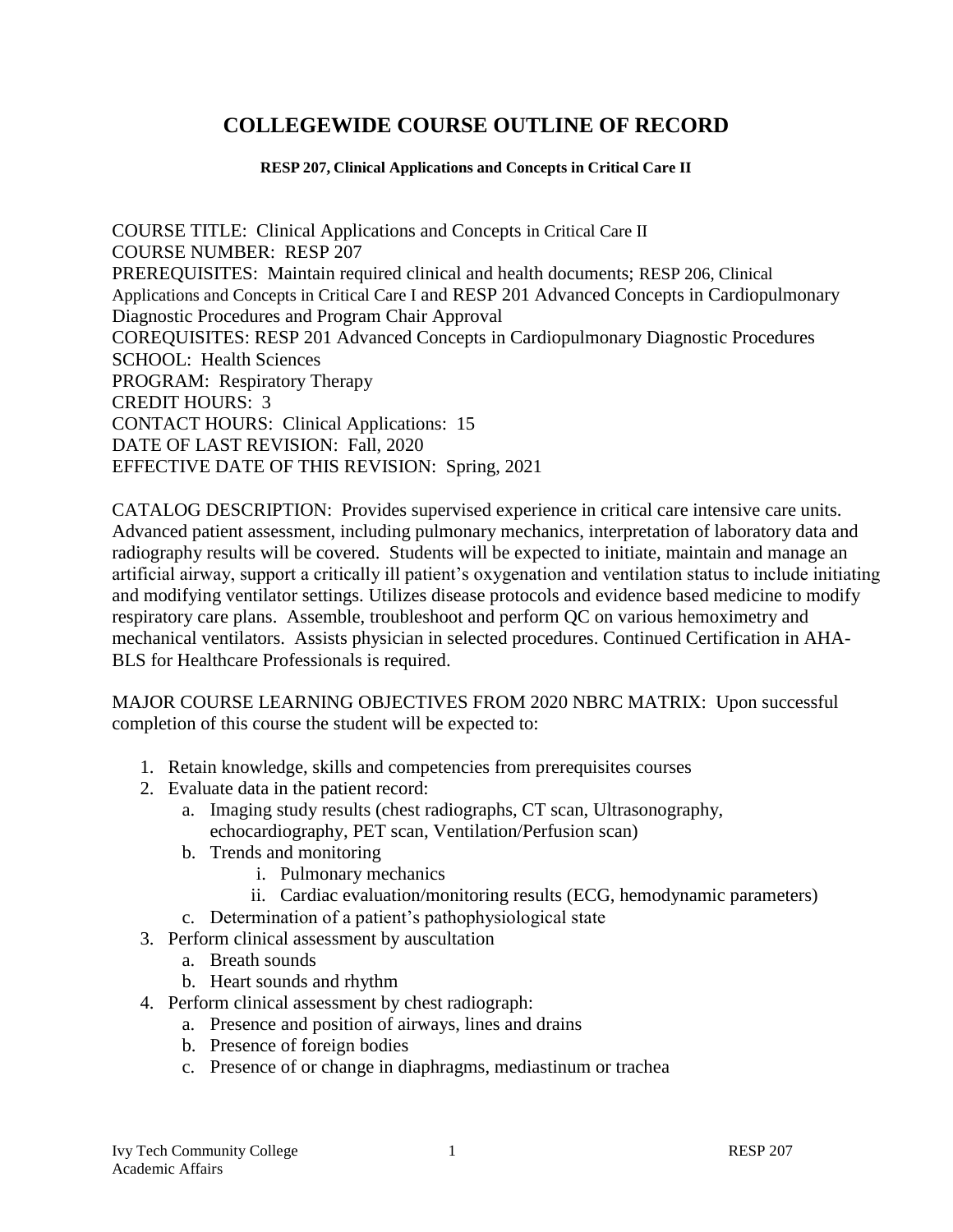# **COLLEGEWIDE COURSE OUTLINE OF RECORD**

#### **RESP 207, Clinical Applications and Concepts in Critical Care II**

COURSE TITLE: Clinical Applications and Concepts in Critical Care II COURSE NUMBER: RESP 207 PREREQUISITES: Maintain required clinical and health documents; RESP 206, Clinical Applications and Concepts in Critical Care I and RESP 201 Advanced Concepts in Cardiopulmonary Diagnostic Procedures and Program Chair Approval COREQUISITES: RESP 201 Advanced Concepts in Cardiopulmonary Diagnostic Procedures SCHOOL: Health Sciences PROGRAM: Respiratory Therapy CREDIT HOURS: 3 CONTACT HOURS: Clinical Applications: 15 DATE OF LAST REVISION: Fall, 2020 EFFECTIVE DATE OF THIS REVISION: Spring, 2021

CATALOG DESCRIPTION: Provides supervised experience in critical care intensive care units. Advanced patient assessment, including pulmonary mechanics, interpretation of laboratory data and radiography results will be covered. Students will be expected to initiate, maintain and manage an artificial airway, support a critically ill patient's oxygenation and ventilation status to include initiating and modifying ventilator settings. Utilizes disease protocols and evidence based medicine to modify respiratory care plans. Assemble, troubleshoot and perform QC on various hemoximetry and mechanical ventilators. Assists physician in selected procedures. Continued Certification in AHA-BLS for Healthcare Professionals is required.

MAJOR COURSE LEARNING OBJECTIVES FROM 2020 NBRC MATRIX: Upon successful completion of this course the student will be expected to:

- 1. Retain knowledge, skills and competencies from prerequisites courses
- 2. Evaluate data in the patient record:
	- a. Imaging study results (chest radiographs, CT scan, Ultrasonography, echocardiography, PET scan, Ventilation/Perfusion scan)
	- b. Trends and monitoring
		- i. Pulmonary mechanics
		- ii. Cardiac evaluation/monitoring results (ECG, hemodynamic parameters)
	- c. Determination of a patient's pathophysiological state
- 3. Perform clinical assessment by auscultation
	- a. Breath sounds
	- b. Heart sounds and rhythm
- 4. Perform clinical assessment by chest radiograph:
	- a. Presence and position of airways, lines and drains
	- b. Presence of foreign bodies
	- c. Presence of or change in diaphragms, mediastinum or trachea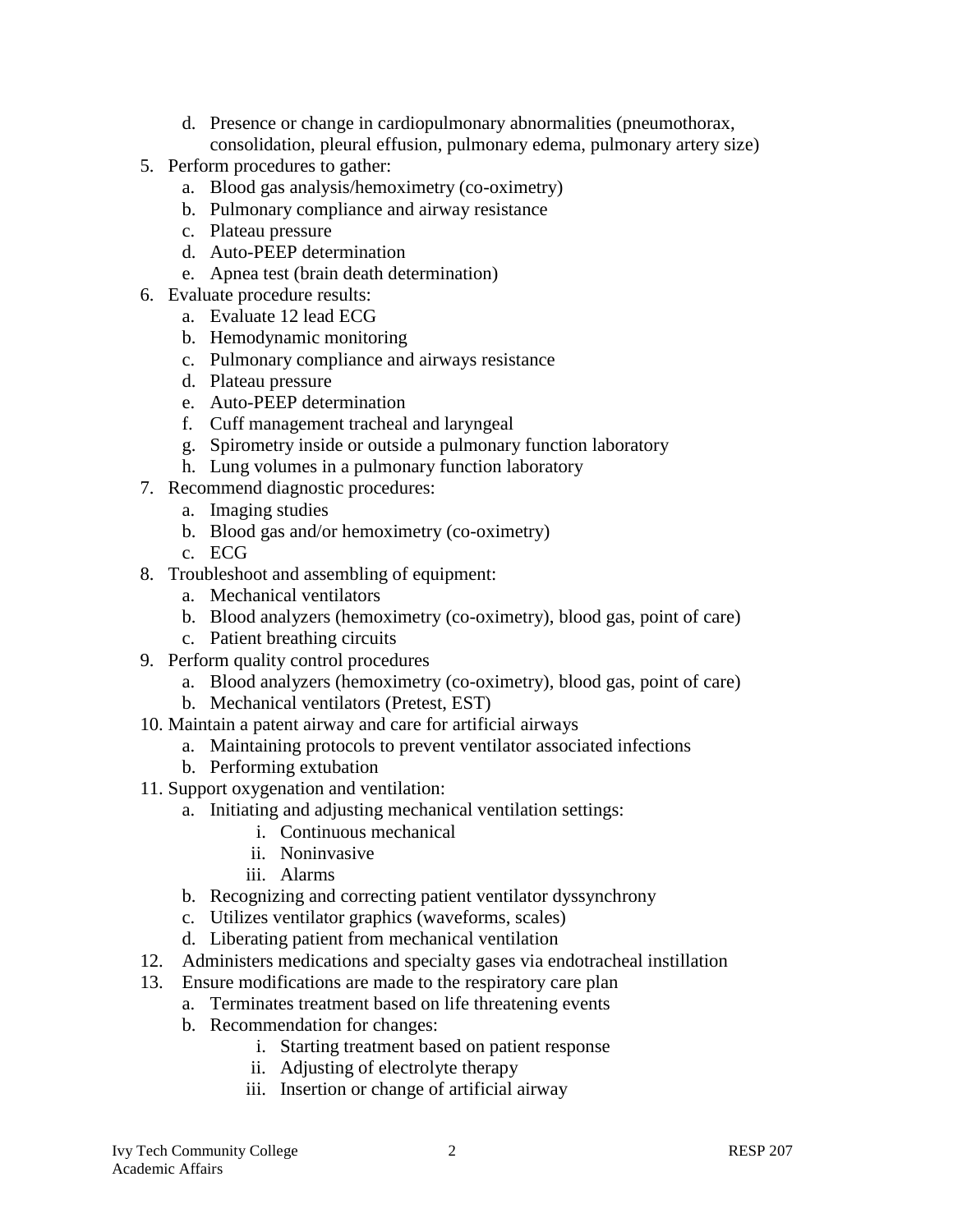- d. Presence or change in cardiopulmonary abnormalities (pneumothorax, consolidation, pleural effusion, pulmonary edema, pulmonary artery size)
- 5. Perform procedures to gather:
	- a. Blood gas analysis/hemoximetry (co-oximetry)
	- b. Pulmonary compliance and airway resistance
	- c. Plateau pressure
	- d. Auto-PEEP determination
	- e. Apnea test (brain death determination)
- 6. Evaluate procedure results:
	- a. Evaluate 12 lead ECG
	- b. Hemodynamic monitoring
	- c. Pulmonary compliance and airways resistance
	- d. Plateau pressure
	- e. Auto-PEEP determination
	- f. Cuff management tracheal and laryngeal
	- g. Spirometry inside or outside a pulmonary function laboratory
	- h. Lung volumes in a pulmonary function laboratory
- 7. Recommend diagnostic procedures:
	- a. Imaging studies
	- b. Blood gas and/or hemoximetry (co-oximetry)
	- c. ECG
- 8. Troubleshoot and assembling of equipment:
	- a. Mechanical ventilators
	- b. Blood analyzers (hemoximetry (co-oximetry), blood gas, point of care)
	- c. Patient breathing circuits
- 9. Perform quality control procedures
	- a. Blood analyzers (hemoximetry (co-oximetry), blood gas, point of care)
	- b. Mechanical ventilators (Pretest, EST)
- 10. Maintain a patent airway and care for artificial airways
	- a. Maintaining protocols to prevent ventilator associated infections
	- b. Performing extubation
- 11. Support oxygenation and ventilation:
	- a. Initiating and adjusting mechanical ventilation settings:
		- i. Continuous mechanical
		- ii. Noninvasive
		- iii. Alarms
	- b. Recognizing and correcting patient ventilator dyssynchrony
	- c. Utilizes ventilator graphics (waveforms, scales)
	- d. Liberating patient from mechanical ventilation
- 12. Administers medications and specialty gases via endotracheal instillation
- 13. Ensure modifications are made to the respiratory care plan
	- a. Terminates treatment based on life threatening events
	- b. Recommendation for changes:
		- i. Starting treatment based on patient response
		- ii. Adjusting of electrolyte therapy
		- iii. Insertion or change of artificial airway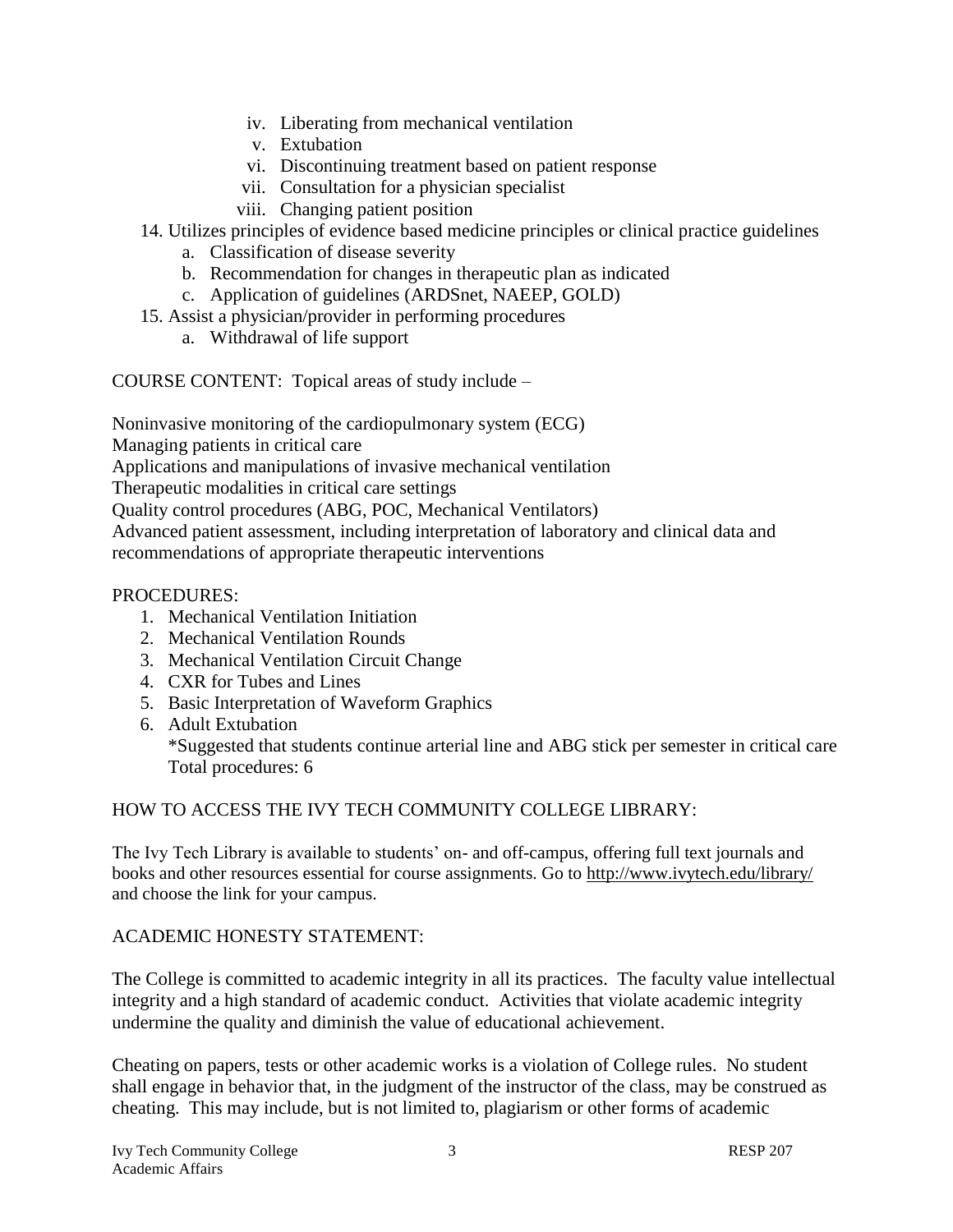- iv. Liberating from mechanical ventilation
- v. Extubation
- vi. Discontinuing treatment based on patient response
- vii. Consultation for a physician specialist
- viii. Changing patient position
- 14. Utilizes principles of evidence based medicine principles or clinical practice guidelines
	- a. Classification of disease severity
	- b. Recommendation for changes in therapeutic plan as indicated
	- c. Application of guidelines (ARDSnet, NAEEP, GOLD)
- 15. Assist a physician/provider in performing procedures
	- a. Withdrawal of life support

COURSE CONTENT: Topical areas of study include –

Noninvasive monitoring of the cardiopulmonary system (ECG)

Managing patients in critical care

Applications and manipulations of invasive mechanical ventilation

Therapeutic modalities in critical care settings

Quality control procedures (ABG, POC, Mechanical Ventilators)

Advanced patient assessment, including interpretation of laboratory and clinical data and recommendations of appropriate therapeutic interventions

## PROCEDURES:

- 1. Mechanical Ventilation Initiation
- 2. Mechanical Ventilation Rounds
- 3. Mechanical Ventilation Circuit Change
- 4. CXR for Tubes and Lines
- 5. Basic Interpretation of Waveform Graphics
- 6. Adult Extubation

\*Suggested that students continue arterial line and ABG stick per semester in critical care Total procedures: 6

## HOW TO ACCESS THE IVY TECH COMMUNITY COLLEGE LIBRARY:

The Ivy Tech Library is available to students' on- and off-campus, offering full text journals and books and other resources essential for course assignments. Go to<http://www.ivytech.edu/library/> and choose the link for your campus.

## ACADEMIC HONESTY STATEMENT:

The College is committed to academic integrity in all its practices. The faculty value intellectual integrity and a high standard of academic conduct. Activities that violate academic integrity undermine the quality and diminish the value of educational achievement.

Cheating on papers, tests or other academic works is a violation of College rules. No student shall engage in behavior that, in the judgment of the instructor of the class, may be construed as cheating. This may include, but is not limited to, plagiarism or other forms of academic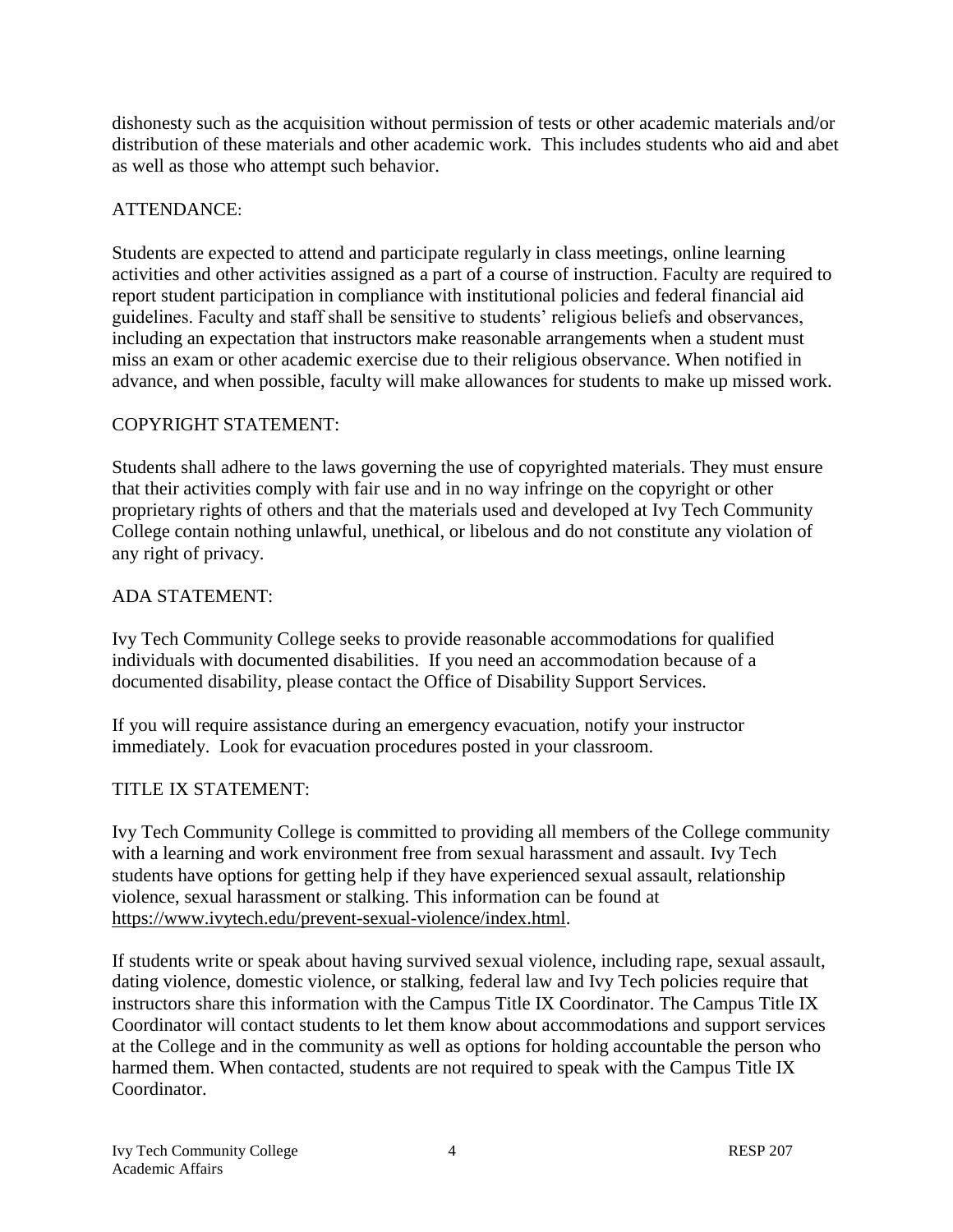dishonesty such as the acquisition without permission of tests or other academic materials and/or distribution of these materials and other academic work. This includes students who aid and abet as well as those who attempt such behavior.

### ATTENDANCE:

Students are expected to attend and participate regularly in class meetings, online learning activities and other activities assigned as a part of a course of instruction. Faculty are required to report student participation in compliance with institutional policies and federal financial aid guidelines. Faculty and staff shall be sensitive to students' religious beliefs and observances, including an expectation that instructors make reasonable arrangements when a student must miss an exam or other academic exercise due to their religious observance. When notified in advance, and when possible, faculty will make allowances for students to make up missed work.

## COPYRIGHT STATEMENT:

Students shall adhere to the laws governing the use of copyrighted materials. They must ensure that their activities comply with fair use and in no way infringe on the copyright or other proprietary rights of others and that the materials used and developed at Ivy Tech Community College contain nothing unlawful, unethical, or libelous and do not constitute any violation of any right of privacy.

## ADA STATEMENT:

Ivy Tech Community College seeks to provide reasonable accommodations for qualified individuals with documented disabilities. If you need an accommodation because of a documented disability, please contact the Office of Disability Support Services.

If you will require assistance during an emergency evacuation, notify your instructor immediately. Look for evacuation procedures posted in your classroom.

#### TITLE IX STATEMENT:

Ivy Tech Community College is committed to providing all members of the College community with a learning and work environment free from sexual harassment and assault. Ivy Tech students have options for getting help if they have experienced sexual assault, relationship violence, sexual harassment or stalking. This information can be found at [https://www.ivytech.edu/prevent-sexual-violence/index.html.](https://www.ivytech.edu/prevent-sexual-violence/index.html)

If students write or speak about having survived sexual violence, including rape, sexual assault, dating violence, domestic violence, or stalking, federal law and Ivy Tech policies require that instructors share this information with the Campus Title IX Coordinator. The Campus Title IX Coordinator will contact students to let them know about accommodations and support services at the College and in the community as well as options for holding accountable the person who harmed them. When contacted, students are not required to speak with the Campus Title IX Coordinator.